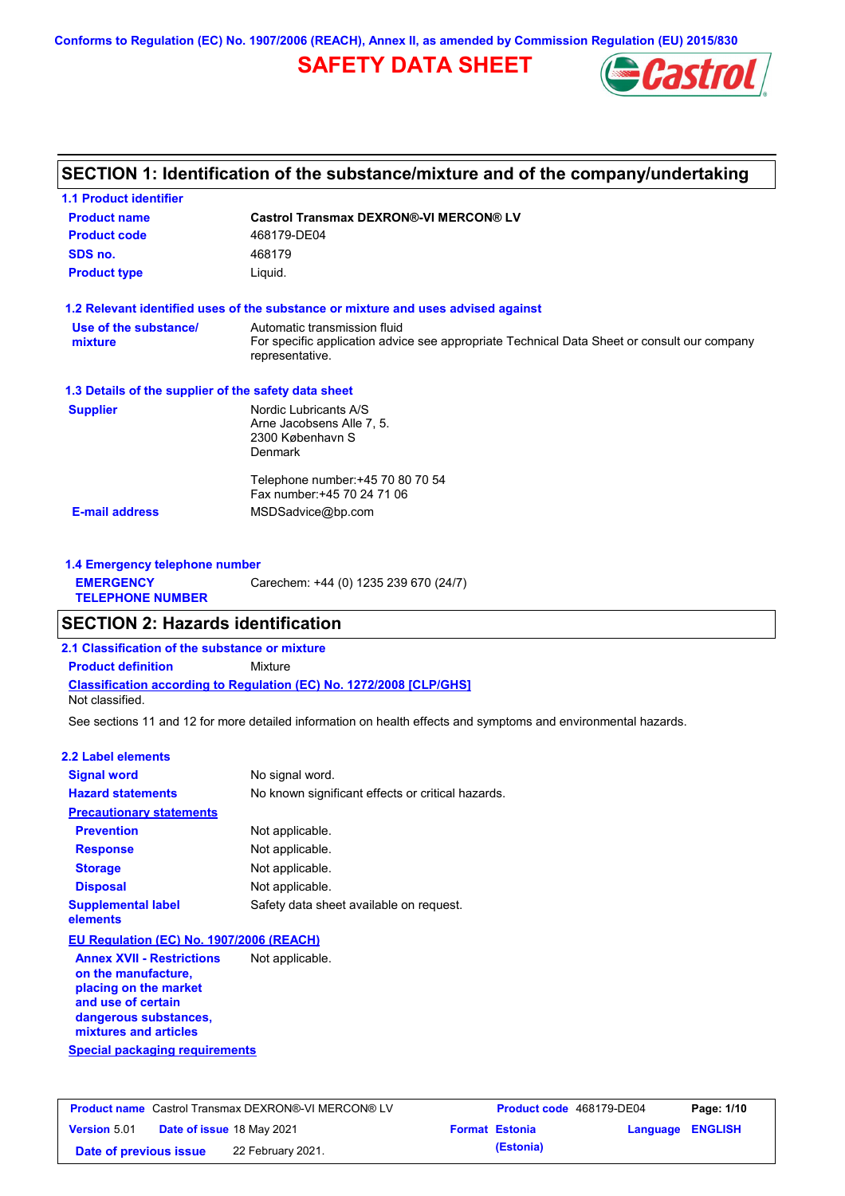**Conforms to Regulation (EC) No. 1907/2006 (REACH), Annex II, as amended by Commission Regulation (EU) 2015/830**

# **SAFETY DATA SHEET**



## **SECTION 1: Identification of the substance/mixture and of the company/undertaking**

| <b>Product name</b>                                  | <b>Castrol Transmax DEXRON®-VI MERCON® LV</b>                                                                                                  |  |  |  |
|------------------------------------------------------|------------------------------------------------------------------------------------------------------------------------------------------------|--|--|--|
| <b>Product code</b>                                  | 468179-DE04                                                                                                                                    |  |  |  |
| SDS no.                                              | 468179                                                                                                                                         |  |  |  |
| <b>Product type</b>                                  | Liquid.                                                                                                                                        |  |  |  |
|                                                      | 1.2 Relevant identified uses of the substance or mixture and uses advised against                                                              |  |  |  |
| Use of the substance/<br>mixture                     | Automatic transmission fluid<br>For specific application advice see appropriate Technical Data Sheet or consult our company<br>representative. |  |  |  |
| 1.3 Details of the supplier of the safety data sheet |                                                                                                                                                |  |  |  |
| <b>Supplier</b>                                      | Nordic Lubricants A/S<br>Arne Jacobsens Alle 7, 5.<br>2300 København S<br><b>Denmark</b>                                                       |  |  |  |
|                                                      | Telephone number: +45 70 80 70 54<br>Fax number: +45 70 24 71 06                                                                               |  |  |  |
| <b>E-mail address</b>                                | MSDSadvice@bp.com                                                                                                                              |  |  |  |

| 1.4 Emergency telephone number              |                                       |  |  |
|---------------------------------------------|---------------------------------------|--|--|
| <b>EMERGENCY</b><br><b>TELEPHONE NUMBER</b> | Carechem: +44 (0) 1235 239 670 (24/7) |  |  |

## **SECTION 2: Hazards identification**

**2.1 Classification of the substance or mixture**

**Classification according to Regulation (EC) No. 1272/2008 [CLP/GHS] Product definition** Mixture

Not classified.

See sections 11 and 12 for more detailed information on health effects and symptoms and environmental hazards.

### **2.2 Label elements**

| <b>Signal word</b>                                      | No signal word.                                   |
|---------------------------------------------------------|---------------------------------------------------|
| <b>Hazard statements</b>                                | No known significant effects or critical hazards. |
| <b>Precautionary statements</b>                         |                                                   |
| <b>Prevention</b>                                       | Not applicable.                                   |
| <b>Response</b>                                         | Not applicable.                                   |
| <b>Storage</b>                                          | Not applicable.                                   |
| <b>Disposal</b>                                         | Not applicable.                                   |
| <b>Supplemental label</b><br>elements                   | Safety data sheet available on request.           |
| EU Regulation (EC) No. 1907/2006 (REACH)                |                                                   |
| <b>Annex XVII - Restrictions</b><br>on the manufacture, | Not applicable.                                   |

**Special packaging requirements placing on the market and use of certain dangerous substances, mixtures and articles**

| <b>Product name</b> Castrol Transmax DEXRON®-VI MERCON® LV |  | <b>Product code</b> 468179-DE04  |  | Page: 1/10            |                         |  |
|------------------------------------------------------------|--|----------------------------------|--|-----------------------|-------------------------|--|
| <b>Version 5.01</b>                                        |  | <b>Date of issue 18 May 2021</b> |  | <b>Format Estonia</b> | <b>Language ENGLISH</b> |  |
| Date of previous issue                                     |  | 22 February 2021.                |  | (Estonia)             |                         |  |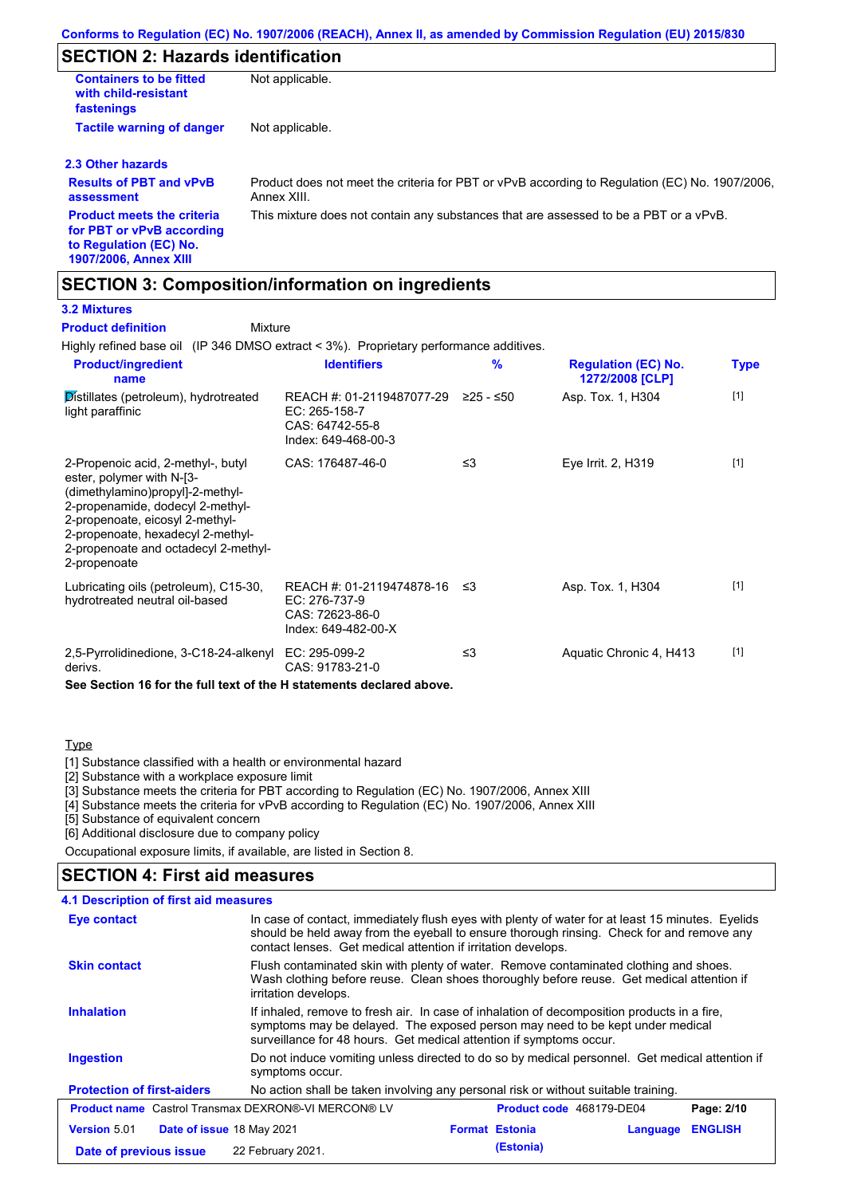# **SECTION 2: Hazards identification**

| <b>Containers to be fitted</b><br>with child-resistant<br>fastenings                     | Not applicable.                                                                                               |
|------------------------------------------------------------------------------------------|---------------------------------------------------------------------------------------------------------------|
| <b>Tactile warning of danger</b>                                                         | Not applicable.                                                                                               |
| 2.3 Other hazards                                                                        |                                                                                                               |
| <b>Results of PBT and vPvB</b><br>assessment                                             | Product does not meet the criteria for PBT or vPvB according to Regulation (EC) No. 1907/2006.<br>Annex XIII. |
| <b>Product meets the criteria</b><br>for PBT or vPvB according<br>to Regulation (EC) No. | This mixture does not contain any substances that are assessed to be a PBT or a vPvB.                         |

### **1907/2006, Annex XIII**

## **SECTION 3: Composition/information on ingredients**

Mixture

### **3.2 Mixtures**

**Product definition**

Highly refined base oil (IP 346 DMSO extract < 3%). Proprietary performance additives.

| <b>Product/ingredient</b><br>name                                                                                                                                                                                                                                       | <b>Identifiers</b>                                                                   | $\frac{9}{6}$ | <b>Regulation (EC) No.</b><br>1272/2008 [CLP] | <b>Type</b> |
|-------------------------------------------------------------------------------------------------------------------------------------------------------------------------------------------------------------------------------------------------------------------------|--------------------------------------------------------------------------------------|---------------|-----------------------------------------------|-------------|
| Distillates (petroleum), hydrotreated<br>light paraffinic                                                                                                                                                                                                               | REACH #: 01-2119487077-29<br>EC: 265-158-7<br>CAS: 64742-55-8<br>Index: 649-468-00-3 | $≥25 - ≤50$   | Asp. Tox. 1, H304                             | $[1]$       |
| 2-Propenoic acid, 2-methyl-, butyl<br>ester, polymer with N-[3-<br>(dimethylamino)propyl]-2-methyl-<br>2-propenamide, dodecyl 2-methyl-<br>2-propenoate, eicosyl 2-methyl-<br>2-propenoate, hexadecyl 2-methyl-<br>2-propenoate and octadecyl 2-methyl-<br>2-propenoate | CAS: 176487-46-0                                                                     | ≤3            | Eye Irrit. 2, H319                            | $[1]$       |
| Lubricating oils (petroleum), C15-30,<br>hydrotreated neutral oil-based                                                                                                                                                                                                 | REACH #: 01-2119474878-16<br>EC: 276-737-9<br>CAS: 72623-86-0<br>Index: 649-482-00-X | -≤3           | Asp. Tox. 1, H304                             | $[1]$       |
| 2,5-Pyrrolidinedione, 3-C18-24-alkenyl<br>derivs.                                                                                                                                                                                                                       | EC: 295-099-2<br>CAS: 91783-21-0                                                     | ≤3            | Aquatic Chronic 4, H413                       | $[1]$       |

**See Section 16 for the full text of the H statements declared above.**

### Type

[1] Substance classified with a health or environmental hazard

[2] Substance with a workplace exposure limit

[3] Substance meets the criteria for PBT according to Regulation (EC) No. 1907/2006, Annex XIII

[4] Substance meets the criteria for vPvB according to Regulation (EC) No. 1907/2006, Annex XIII

[5] Substance of equivalent concern

[6] Additional disclosure due to company policy

Occupational exposure limits, if available, are listed in Section 8.

### **SECTION 4: First aid measures**

### **4.1 Description of first aid measures**

| <b>Eye contact</b>                                                                                   | In case of contact, immediately flush eyes with plenty of water for at least 15 minutes. Eyelids<br>should be held away from the eyeball to ensure thorough rinsing. Check for and remove any<br>contact lenses. Get medical attention if irritation develops. |                       |          |                |
|------------------------------------------------------------------------------------------------------|----------------------------------------------------------------------------------------------------------------------------------------------------------------------------------------------------------------------------------------------------------------|-----------------------|----------|----------------|
| <b>Skin contact</b>                                                                                  | Flush contaminated skin with plenty of water. Remove contaminated clothing and shoes.<br>Wash clothing before reuse. Clean shoes thoroughly before reuse. Get medical attention if<br>irritation develops.                                                     |                       |          |                |
| <b>Inhalation</b>                                                                                    | If inhaled, remove to fresh air. In case of inhalation of decomposition products in a fire,<br>symptoms may be delayed. The exposed person may need to be kept under medical<br>surveillance for 48 hours. Get medical attention if symptoms occur.            |                       |          |                |
| <b>Ingestion</b>                                                                                     | Do not induce vomiting unless directed to do so by medical personnel. Get medical attention if<br>symptoms occur.                                                                                                                                              |                       |          |                |
| <b>Protection of first-aiders</b>                                                                    | No action shall be taken involving any personal risk or without suitable training.                                                                                                                                                                             |                       |          |                |
| <b>Product name</b> Castrol Transmax DEXRON®-VI MERCON® LV<br>Product code 468179-DE04<br>Page: 2/10 |                                                                                                                                                                                                                                                                |                       |          |                |
| <b>Version 5.01</b><br>Date of issue 18 May 2021                                                     |                                                                                                                                                                                                                                                                | <b>Format Estonia</b> | Language | <b>ENGLISH</b> |
| Date of previous issue                                                                               | 22 February 2021.                                                                                                                                                                                                                                              | (Estonia)             |          |                |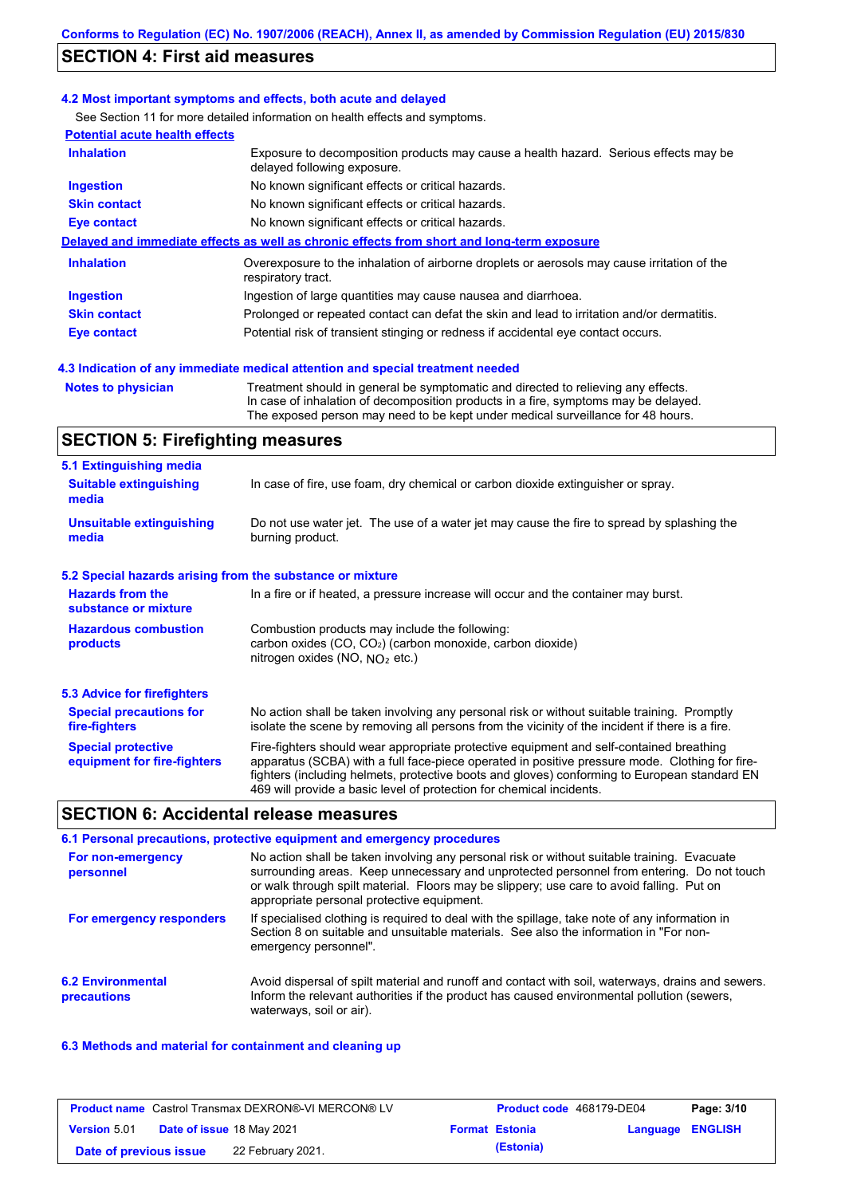## **SECTION 4: First aid measures**

### **4.2 Most important symptoms and effects, both acute and delayed**

See Section 11 for more detailed information on health effects and symptoms.

| <b>Potential acute health effects</b> |                                                                                                                     |
|---------------------------------------|---------------------------------------------------------------------------------------------------------------------|
| <b>Inhalation</b>                     | Exposure to decomposition products may cause a health hazard. Serious effects may be<br>delayed following exposure. |
| <b>Ingestion</b>                      | No known significant effects or critical hazards.                                                                   |
| <b>Skin contact</b>                   | No known significant effects or critical hazards.                                                                   |
| Eye contact                           | No known significant effects or critical hazards.                                                                   |
|                                       | Delayed and immediate effects as well as chronic effects from short and long-term exposure                          |
| <b>Inhalation</b>                     | Overexposure to the inhalation of airborne droplets or aerosols may cause irritation of the<br>respiratory tract.   |
| <b>Ingestion</b>                      | Ingestion of large quantities may cause nausea and diarrhoea.                                                       |
| <b>Skin contact</b>                   | Prolonged or repeated contact can defat the skin and lead to irritation and/or dermatitis.                          |
| Eye contact                           | Potential risk of transient stinging or redness if accidental eye contact occurs.                                   |
|                                       |                                                                                                                     |

### **4.3 Indication of any immediate medical attention and special treatment needed**

**Notes to physician** Treatment should in general be symptomatic and directed to relieving any effects. In case of inhalation of decomposition products in a fire, symptoms may be delayed. The exposed person may need to be kept under medical surveillance for 48 hours.

## **SECTION 5: Firefighting measures**

| 5.1 Extinguishing media                                                                                                                                                                                                                                                                                                                                                                                                       |                                                                                                                                                   |  |  |  |
|-------------------------------------------------------------------------------------------------------------------------------------------------------------------------------------------------------------------------------------------------------------------------------------------------------------------------------------------------------------------------------------------------------------------------------|---------------------------------------------------------------------------------------------------------------------------------------------------|--|--|--|
| <b>Suitable extinguishing</b><br>media                                                                                                                                                                                                                                                                                                                                                                                        | In case of fire, use foam, dry chemical or carbon dioxide extinguisher or spray.                                                                  |  |  |  |
| <b>Unsuitable extinguishing</b><br>media                                                                                                                                                                                                                                                                                                                                                                                      | Do not use water jet. The use of a water jet may cause the fire to spread by splashing the<br>burning product.                                    |  |  |  |
| 5.2 Special hazards arising from the substance or mixture                                                                                                                                                                                                                                                                                                                                                                     |                                                                                                                                                   |  |  |  |
| <b>Hazards from the</b><br>substance or mixture                                                                                                                                                                                                                                                                                                                                                                               | In a fire or if heated, a pressure increase will occur and the container may burst.                                                               |  |  |  |
| <b>Hazardous combustion</b><br>products                                                                                                                                                                                                                                                                                                                                                                                       | Combustion products may include the following:<br>carbon oxides $(CO, CO2)$ (carbon monoxide, carbon dioxide)<br>nitrogen oxides (NO, $NO2$ etc.) |  |  |  |
| 5.3 Advice for firefighters                                                                                                                                                                                                                                                                                                                                                                                                   |                                                                                                                                                   |  |  |  |
| No action shall be taken involving any personal risk or without suitable training. Promptly<br><b>Special precautions for</b><br>isolate the scene by removing all persons from the vicinity of the incident if there is a fire.<br>fire-fighters                                                                                                                                                                             |                                                                                                                                                   |  |  |  |
| Fire-fighters should wear appropriate protective equipment and self-contained breathing<br><b>Special protective</b><br>apparatus (SCBA) with a full face-piece operated in positive pressure mode. Clothing for fire-<br>equipment for fire-fighters<br>fighters (including helmets, protective boots and gloves) conforming to European standard EN<br>469 will provide a basic level of protection for chemical incidents. |                                                                                                                                                   |  |  |  |

## **SECTION 6: Accidental release measures**

|                                         | 6.1 Personal precautions, protective equipment and emergency procedures                                                                                                                                                                                                                                                             |
|-----------------------------------------|-------------------------------------------------------------------------------------------------------------------------------------------------------------------------------------------------------------------------------------------------------------------------------------------------------------------------------------|
| For non-emergency<br>personnel          | No action shall be taken involving any personal risk or without suitable training. Evacuate<br>surrounding areas. Keep unnecessary and unprotected personnel from entering. Do not touch<br>or walk through spilt material. Floors may be slippery; use care to avoid falling. Put on<br>appropriate personal protective equipment. |
| For emergency responders                | If specialised clothing is required to deal with the spillage, take note of any information in<br>Section 8 on suitable and unsuitable materials. See also the information in "For non-<br>emergency personnel".                                                                                                                    |
| <b>6.2 Environmental</b><br>precautions | Avoid dispersal of spilt material and runoff and contact with soil, waterways, drains and sewers.<br>Inform the relevant authorities if the product has caused environmental pollution (sewers,<br>waterways, soil or air).                                                                                                         |

### **6.3 Methods and material for containment and cleaning up**

| <b>Product name</b> Castrol Transmax DEXRON®-VI MERCON® LV |                                  | <b>Product code</b> 468179-DE04 |  | Page: 3/10            |                  |  |
|------------------------------------------------------------|----------------------------------|---------------------------------|--|-----------------------|------------------|--|
| <b>Version 5.01</b>                                        | <b>Date of issue 18 May 2021</b> |                                 |  | <b>Format Estonia</b> | Language ENGLISH |  |
| Date of previous issue                                     |                                  | 22 February 2021.               |  | (Estonia)             |                  |  |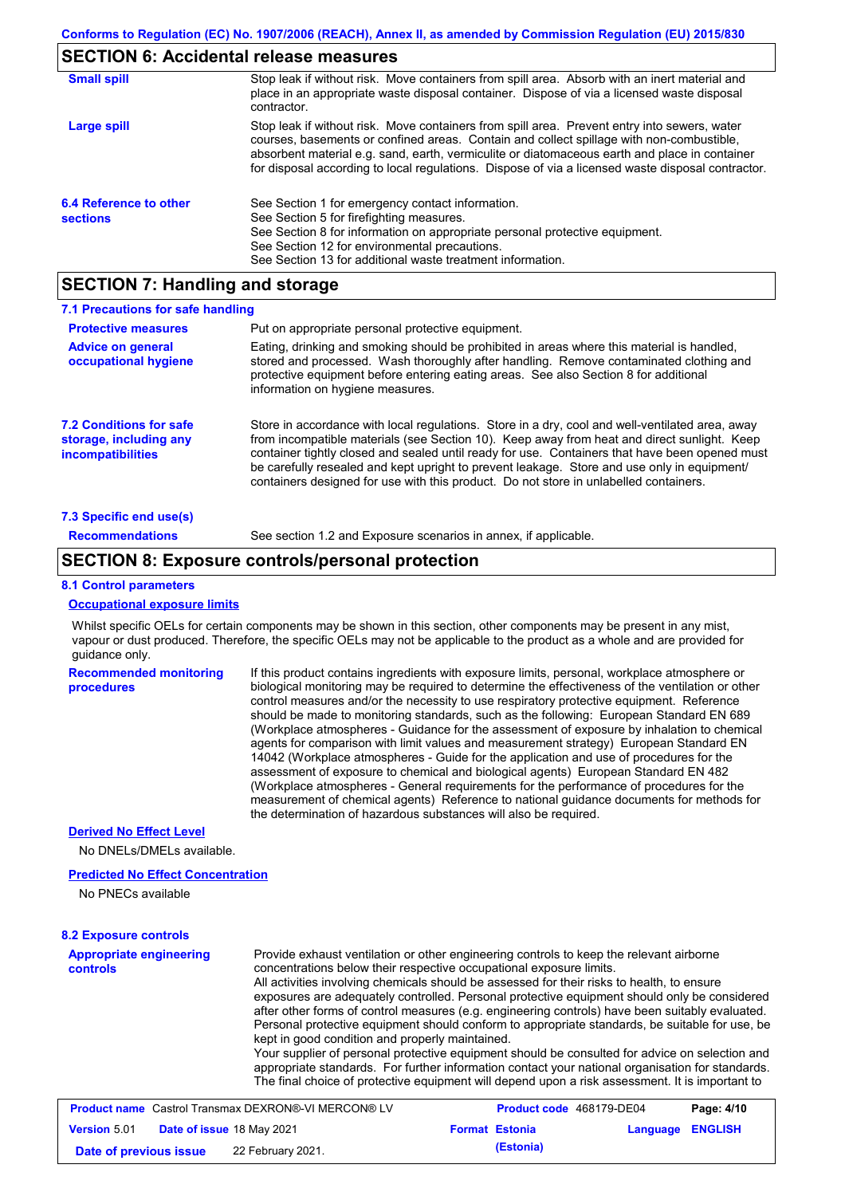### **SECTION 6: Accidental release measures**

| <b>Small spill</b>                        | Stop leak if without risk. Move containers from spill area. Absorb with an inert material and<br>place in an appropriate waste disposal container. Dispose of via a licensed waste disposal<br>contractor.                                                                                                                                                                                     |
|-------------------------------------------|------------------------------------------------------------------------------------------------------------------------------------------------------------------------------------------------------------------------------------------------------------------------------------------------------------------------------------------------------------------------------------------------|
| Large spill                               | Stop leak if without risk. Move containers from spill area. Prevent entry into sewers, water<br>courses, basements or confined areas. Contain and collect spillage with non-combustible,<br>absorbent material e.g. sand, earth, vermiculite or diatomaceous earth and place in container<br>for disposal according to local regulations. Dispose of via a licensed waste disposal contractor. |
| 6.4 Reference to other<br><b>sections</b> | See Section 1 for emergency contact information.<br>See Section 5 for firefighting measures.<br>See Section 8 for information on appropriate personal protective equipment.<br>See Section 12 for environmental precautions.<br>See Section 13 for additional waste treatment information.                                                                                                     |

## **SECTION 7: Handling and storage**

| 7.1 Precautions for safe handling                                             |                                                                                                                                                                                                                                                                                                                                                                                                                                                                                          |
|-------------------------------------------------------------------------------|------------------------------------------------------------------------------------------------------------------------------------------------------------------------------------------------------------------------------------------------------------------------------------------------------------------------------------------------------------------------------------------------------------------------------------------------------------------------------------------|
| <b>Protective measures</b>                                                    | Put on appropriate personal protective equipment.                                                                                                                                                                                                                                                                                                                                                                                                                                        |
| <b>Advice on general</b><br>occupational hygiene                              | Eating, drinking and smoking should be prohibited in areas where this material is handled,<br>stored and processed. Wash thoroughly after handling. Remove contaminated clothing and<br>protective equipment before entering eating areas. See also Section 8 for additional<br>information on hygiene measures.                                                                                                                                                                         |
| <b>7.2 Conditions for safe</b><br>storage, including any<br>incompatibilities | Store in accordance with local requiations. Store in a dry, cool and well-ventilated area, away<br>from incompatible materials (see Section 10). Keep away from heat and direct sunlight. Keep<br>container tightly closed and sealed until ready for use. Containers that have been opened must<br>be carefully resealed and kept upright to prevent leakage. Store and use only in equipment/<br>containers designed for use with this product. Do not store in unlabelled containers. |
| 7.3 Specific end use(s)                                                       |                                                                                                                                                                                                                                                                                                                                                                                                                                                                                          |
| <b>Recommendations</b>                                                        | See section 1.2 and Exposure scenarios in annex, if applicable.                                                                                                                                                                                                                                                                                                                                                                                                                          |

## **SECTION 8: Exposure controls/personal protection**

#### **8.1 Control parameters**

### **Occupational exposure limits**

Whilst specific OELs for certain components may be shown in this section, other components may be present in any mist, vapour or dust produced. Therefore, the specific OELs may not be applicable to the product as a whole and are provided for guidance only.

**Recommended monitoring procedures** If this product contains ingredients with exposure limits, personal, workplace atmosphere or biological monitoring may be required to determine the effectiveness of the ventilation or other control measures and/or the necessity to use respiratory protective equipment. Reference should be made to monitoring standards, such as the following: European Standard EN 689 (Workplace atmospheres - Guidance for the assessment of exposure by inhalation to chemical agents for comparison with limit values and measurement strategy) European Standard EN 14042 (Workplace atmospheres - Guide for the application and use of procedures for the assessment of exposure to chemical and biological agents) European Standard EN 482 (Workplace atmospheres - General requirements for the performance of procedures for the measurement of chemical agents) Reference to national guidance documents for methods for the determination of hazardous substances will also be required.

### **Derived No Effect Level**

No DNELs/DMELs available.

### **Predicted No Effect Concentration**

No PNECs available

### **8.2 Exposure controls**

**Appropriate engineering controls** Provide exhaust ventilation or other engineering controls to keep the relevant airborne concentrations below their respective occupational exposure limits. All activities involving chemicals should be assessed for their risks to health, to ensure exposures are adequately controlled. Personal protective equipment should only be considered after other forms of control measures (e.g. engineering controls) have been suitably evaluated. Personal protective equipment should conform to appropriate standards, be suitable for use, be kept in good condition and properly maintained. Your supplier of personal protective equipment should be consulted for advice on selection and appropriate standards. For further information contact your national organisation for standards. The final choice of protective equipment will depend upon a risk assessment. It is important to

|                        | <b>Product name</b> Castrol Transmax DEXRON®-VI MERCON® LV | <b>Product code</b> 468179-DE04 |                  | Page: 4/10 |
|------------------------|------------------------------------------------------------|---------------------------------|------------------|------------|
| <b>Version 5.01</b>    | <b>Date of issue 18 May 2021</b>                           | <b>Format Estonia</b>           | Language ENGLISH |            |
| Date of previous issue | 22 February 2021.                                          | (Estonia)                       |                  |            |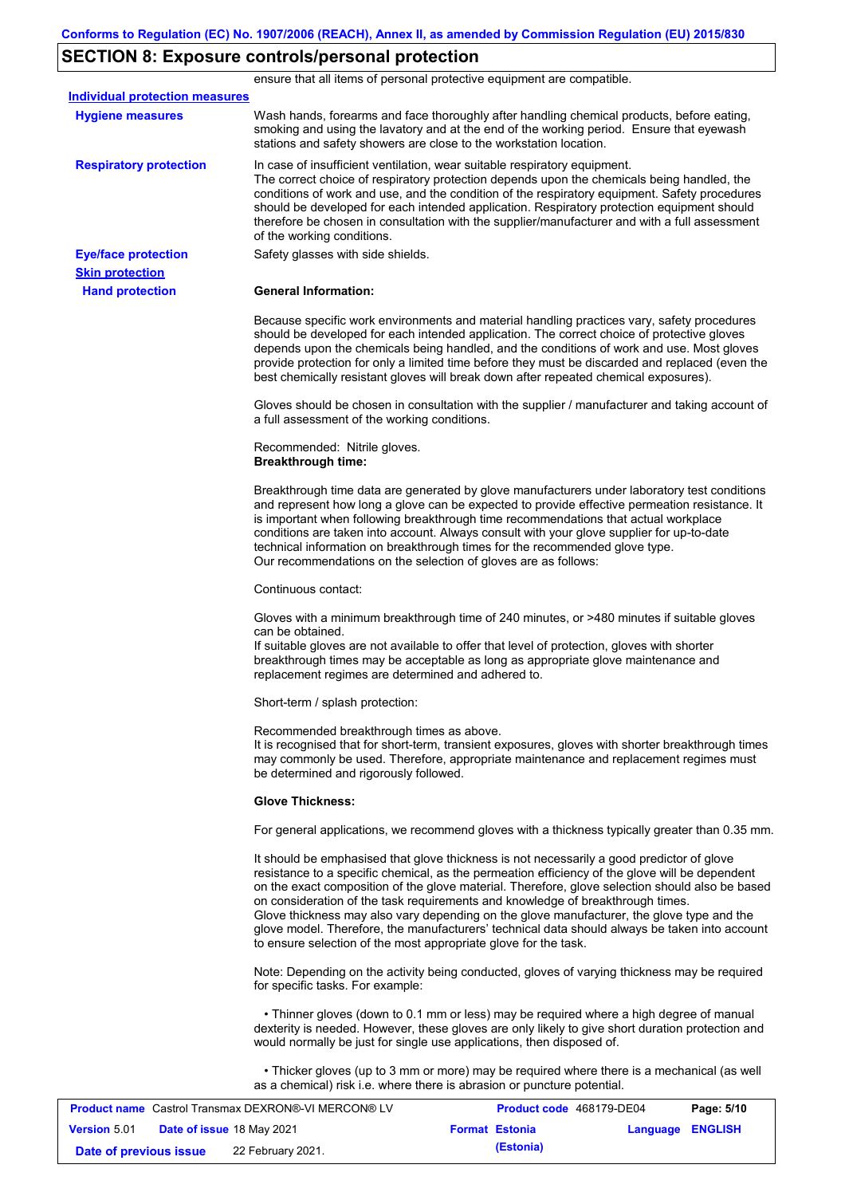# **SECTION 8: Exposure controls/personal protection**

|                                       |                                                                                    | ensure that all items of personal protective equipment are compatible.                                                                                                                                                                                                                                                                                                                                                                                                                                                                                                         |            |
|---------------------------------------|------------------------------------------------------------------------------------|--------------------------------------------------------------------------------------------------------------------------------------------------------------------------------------------------------------------------------------------------------------------------------------------------------------------------------------------------------------------------------------------------------------------------------------------------------------------------------------------------------------------------------------------------------------------------------|------------|
| <b>Individual protection measures</b> |                                                                                    |                                                                                                                                                                                                                                                                                                                                                                                                                                                                                                                                                                                |            |
| <b>Hygiene measures</b>               | stations and safety showers are close to the workstation location.                 | Wash hands, forearms and face thoroughly after handling chemical products, before eating,<br>smoking and using the lavatory and at the end of the working period. Ensure that eyewash                                                                                                                                                                                                                                                                                                                                                                                          |            |
| <b>Respiratory protection</b>         | of the working conditions.                                                         | In case of insufficient ventilation, wear suitable respiratory equipment.<br>The correct choice of respiratory protection depends upon the chemicals being handled, the<br>conditions of work and use, and the condition of the respiratory equipment. Safety procedures<br>should be developed for each intended application. Respiratory protection equipment should<br>therefore be chosen in consultation with the supplier/manufacturer and with a full assessment                                                                                                        |            |
| <b>Eye/face protection</b>            | Safety glasses with side shields.                                                  |                                                                                                                                                                                                                                                                                                                                                                                                                                                                                                                                                                                |            |
| <b>Skin protection</b>                |                                                                                    |                                                                                                                                                                                                                                                                                                                                                                                                                                                                                                                                                                                |            |
| <b>Hand protection</b>                | <b>General Information:</b>                                                        |                                                                                                                                                                                                                                                                                                                                                                                                                                                                                                                                                                                |            |
|                                       |                                                                                    | Because specific work environments and material handling practices vary, safety procedures<br>should be developed for each intended application. The correct choice of protective gloves<br>depends upon the chemicals being handled, and the conditions of work and use. Most gloves<br>provide protection for only a limited time before they must be discarded and replaced (even the<br>best chemically resistant gloves will break down after repeated chemical exposures).                                                                                               |            |
|                                       | a full assessment of the working conditions.                                       | Gloves should be chosen in consultation with the supplier / manufacturer and taking account of                                                                                                                                                                                                                                                                                                                                                                                                                                                                                 |            |
|                                       | Recommended: Nitrile gloves.<br><b>Breakthrough time:</b>                          |                                                                                                                                                                                                                                                                                                                                                                                                                                                                                                                                                                                |            |
|                                       | Our recommendations on the selection of gloves are as follows:                     | Breakthrough time data are generated by glove manufacturers under laboratory test conditions<br>and represent how long a glove can be expected to provide effective permeation resistance. It<br>is important when following breakthrough time recommendations that actual workplace<br>conditions are taken into account. Always consult with your glove supplier for up-to-date<br>technical information on breakthrough times for the recommended glove type.                                                                                                               |            |
|                                       | Continuous contact:                                                                |                                                                                                                                                                                                                                                                                                                                                                                                                                                                                                                                                                                |            |
|                                       | can be obtained.<br>replacement regimes are determined and adhered to.             | Gloves with a minimum breakthrough time of 240 minutes, or >480 minutes if suitable gloves<br>If suitable gloves are not available to offer that level of protection, gloves with shorter<br>breakthrough times may be acceptable as long as appropriate glove maintenance and                                                                                                                                                                                                                                                                                                 |            |
|                                       | Short-term / splash protection:                                                    |                                                                                                                                                                                                                                                                                                                                                                                                                                                                                                                                                                                |            |
|                                       | Recommended breakthrough times as above.<br>be determined and rigorously followed. | It is recognised that for short-term, transient exposures, gloves with shorter breakthrough times<br>may commonly be used. Therefore, appropriate maintenance and replacement regimes must                                                                                                                                                                                                                                                                                                                                                                                     |            |
|                                       | <b>Glove Thickness:</b>                                                            |                                                                                                                                                                                                                                                                                                                                                                                                                                                                                                                                                                                |            |
|                                       |                                                                                    | For general applications, we recommend gloves with a thickness typically greater than 0.35 mm.                                                                                                                                                                                                                                                                                                                                                                                                                                                                                 |            |
|                                       | to ensure selection of the most appropriate glove for the task.                    | It should be emphasised that glove thickness is not necessarily a good predictor of glove<br>resistance to a specific chemical, as the permeation efficiency of the glove will be dependent<br>on the exact composition of the glove material. Therefore, glove selection should also be based<br>on consideration of the task requirements and knowledge of breakthrough times.<br>Glove thickness may also vary depending on the glove manufacturer, the glove type and the<br>glove model. Therefore, the manufacturers' technical data should always be taken into account |            |
|                                       | for specific tasks. For example:                                                   | Note: Depending on the activity being conducted, gloves of varying thickness may be required                                                                                                                                                                                                                                                                                                                                                                                                                                                                                   |            |
|                                       | would normally be just for single use applications, then disposed of.              | • Thinner gloves (down to 0.1 mm or less) may be required where a high degree of manual<br>dexterity is needed. However, these gloves are only likely to give short duration protection and                                                                                                                                                                                                                                                                                                                                                                                    |            |
|                                       |                                                                                    | • Thicker gloves (up to 3 mm or more) may be required where there is a mechanical (as well<br>as a chemical) risk i.e. where there is abrasion or puncture potential.                                                                                                                                                                                                                                                                                                                                                                                                          |            |
|                                       | <b>Product name</b> Castrol Transmax DEXRON®-VI MERCON® LV                         | Product code 468179-DE04                                                                                                                                                                                                                                                                                                                                                                                                                                                                                                                                                       | Page: 5/10 |

|                        | <b>Product name</b> Castrol Transmax DEXRON®-VI MERCON® LV |                       | <b>Product code</b> 4681/9-DE04 | Page: 5/10 |
|------------------------|------------------------------------------------------------|-----------------------|---------------------------------|------------|
| <b>Version 5.01</b>    | <b>Date of issue 18 May 2021</b>                           | <b>Format Estonia</b> | Language ENGLISH                |            |
| Date of previous issue | 22 February 2021.                                          | (Estonia)             |                                 |            |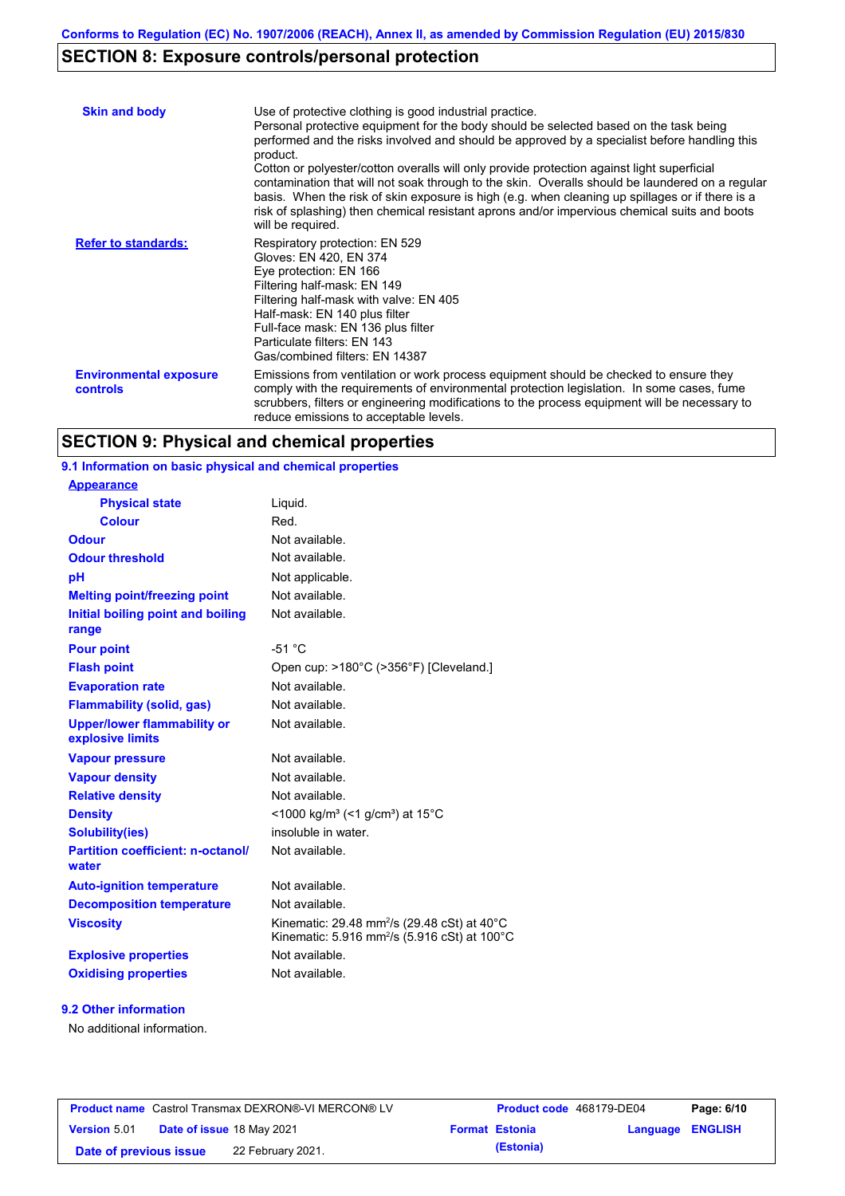# **SECTION 8: Exposure controls/personal protection**

| <b>Skin and body</b>                             | Use of protective clothing is good industrial practice.<br>Personal protective equipment for the body should be selected based on the task being<br>performed and the risks involved and should be approved by a specialist before handling this<br>product.<br>Cotton or polyester/cotton overalls will only provide protection against light superficial<br>contamination that will not soak through to the skin. Overalls should be laundered on a regular<br>basis. When the risk of skin exposure is high (e.g. when cleaning up spillages or if there is a<br>risk of splashing) then chemical resistant aprons and/or impervious chemical suits and boots<br>will be required. |
|--------------------------------------------------|---------------------------------------------------------------------------------------------------------------------------------------------------------------------------------------------------------------------------------------------------------------------------------------------------------------------------------------------------------------------------------------------------------------------------------------------------------------------------------------------------------------------------------------------------------------------------------------------------------------------------------------------------------------------------------------|
| <b>Refer to standards:</b>                       | Respiratory protection: EN 529<br>Gloves: EN 420, EN 374<br>Eye protection: EN 166<br>Filtering half-mask: EN 149<br>Filtering half-mask with valve: EN 405<br>Half-mask: EN 140 plus filter<br>Full-face mask: EN 136 plus filter<br>Particulate filters: EN 143<br>Gas/combined filters: EN 14387                                                                                                                                                                                                                                                                                                                                                                                   |
| <b>Environmental exposure</b><br><b>controls</b> | Emissions from ventilation or work process equipment should be checked to ensure they<br>comply with the requirements of environmental protection legislation. In some cases, fume<br>scrubbers, filters or engineering modifications to the process equipment will be necessary to<br>reduce emissions to acceptable levels.                                                                                                                                                                                                                                                                                                                                                         |

# **SECTION 9: Physical and chemical properties**

| 9.1 Information on basic physical and chemical properties |                                                                                                                     |
|-----------------------------------------------------------|---------------------------------------------------------------------------------------------------------------------|
| <b>Appearance</b>                                         |                                                                                                                     |
| <b>Physical state</b>                                     | Liquid.                                                                                                             |
| <b>Colour</b>                                             | Red.                                                                                                                |
| <b>Odour</b>                                              | Not available.                                                                                                      |
| <b>Odour threshold</b>                                    | Not available.                                                                                                      |
| pH                                                        | Not applicable.                                                                                                     |
| <b>Melting point/freezing point</b>                       | Not available.                                                                                                      |
| Initial boiling point and boiling<br>range                | Not available.                                                                                                      |
| <b>Pour point</b>                                         | $-51 °C$                                                                                                            |
| <b>Flash point</b>                                        | Open cup: >180°C (>356°F) [Cleveland.]                                                                              |
| <b>Evaporation rate</b>                                   | Not available.                                                                                                      |
| <b>Flammability (solid, gas)</b>                          | Not available.                                                                                                      |
| <b>Upper/lower flammability or</b><br>explosive limits    | Not available.                                                                                                      |
| <b>Vapour pressure</b>                                    | Not available.                                                                                                      |
| <b>Vapour density</b>                                     | Not available.                                                                                                      |
| <b>Relative density</b>                                   | Not available.                                                                                                      |
| <b>Density</b>                                            | <1000 kg/m <sup>3</sup> (<1 g/cm <sup>3</sup> ) at 15 <sup>°</sup> C                                                |
| Solubility(ies)                                           | insoluble in water.                                                                                                 |
| <b>Partition coefficient: n-octanol/</b><br>water         | Not available.                                                                                                      |
| <b>Auto-ignition temperature</b>                          | Not available.                                                                                                      |
| <b>Decomposition temperature</b>                          | Not available.                                                                                                      |
| <b>Viscosity</b>                                          | Kinematic: 29.48 mm <sup>2</sup> /s (29.48 cSt) at 40°C<br>Kinematic: 5.916 mm <sup>2</sup> /s (5.916 cSt) at 100°C |
| <b>Explosive properties</b>                               | Not available.                                                                                                      |
| <b>Oxidising properties</b>                               | Not available.                                                                                                      |
|                                                           |                                                                                                                     |

### **9.2 Other information**

No additional information.

| <b>Product name</b> Castrol Transmax DEXRON®-VI MERCON® LV |  | <b>Product code</b> 468179-DE04  |                       | Page: 6/10       |  |
|------------------------------------------------------------|--|----------------------------------|-----------------------|------------------|--|
| <b>Version 5.01</b>                                        |  | <b>Date of issue 18 May 2021</b> | <b>Format Estonia</b> | Language ENGLISH |  |
| Date of previous issue                                     |  | 22 February 2021.                | (Estonia)             |                  |  |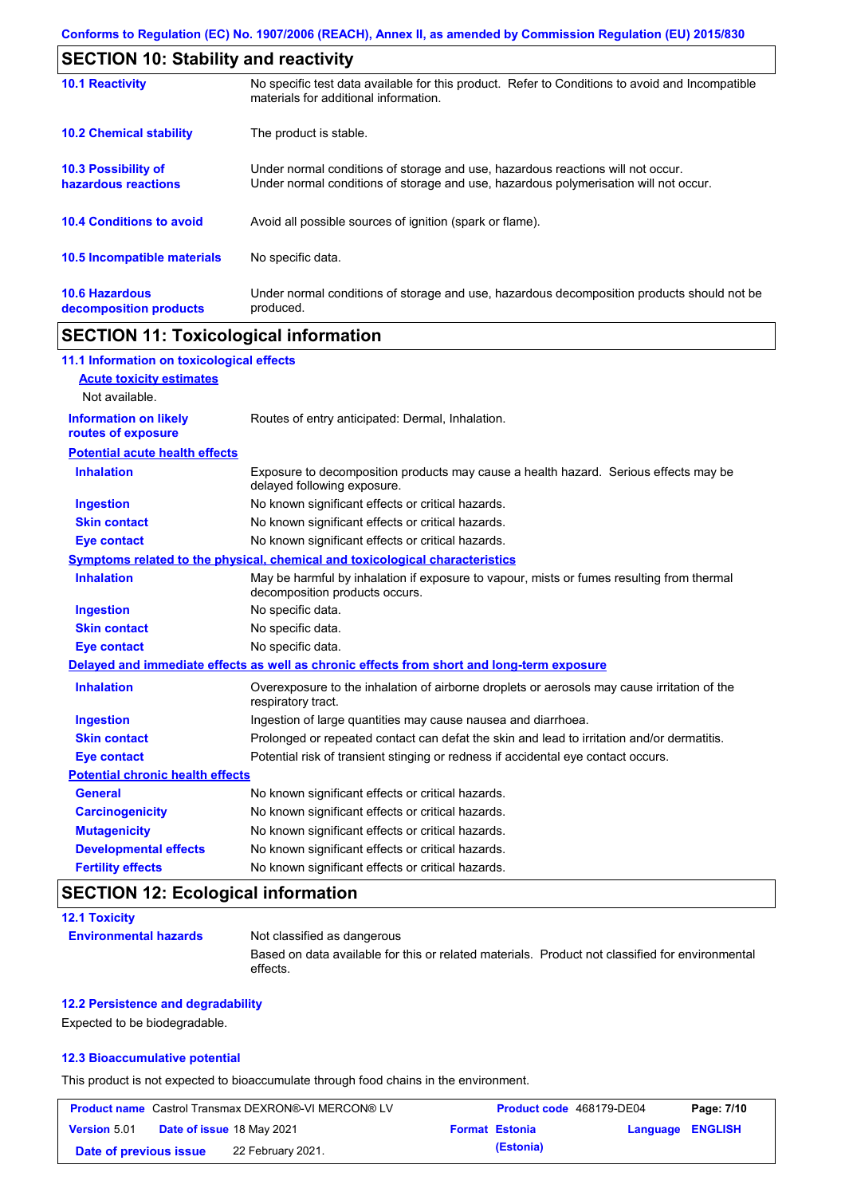| <b>SECTION 10: Stability and reactivity</b>       |                                                                                                                                                                         |  |
|---------------------------------------------------|-------------------------------------------------------------------------------------------------------------------------------------------------------------------------|--|
| <b>10.1 Reactivity</b>                            | No specific test data available for this product. Refer to Conditions to avoid and Incompatible<br>materials for additional information.                                |  |
| <b>10.2 Chemical stability</b>                    | The product is stable.                                                                                                                                                  |  |
| <b>10.3 Possibility of</b><br>hazardous reactions | Under normal conditions of storage and use, hazardous reactions will not occur.<br>Under normal conditions of storage and use, hazardous polymerisation will not occur. |  |
| <b>10.4 Conditions to avoid</b>                   | Avoid all possible sources of ignition (spark or flame).                                                                                                                |  |
| 10.5 Incompatible materials                       | No specific data.                                                                                                                                                       |  |
| <b>10.6 Hazardous</b><br>decomposition products   | Under normal conditions of storage and use, hazardous decomposition products should not be<br>produced.                                                                 |  |

## **SECTION 11: Toxicological information**

| 11.1 Information on toxicological effects |                                                                                                                             |
|-------------------------------------------|-----------------------------------------------------------------------------------------------------------------------------|
| <b>Acute toxicity estimates</b>           |                                                                                                                             |
| Not available.                            |                                                                                                                             |
| <b>Information on likely</b>              | Routes of entry anticipated: Dermal, Inhalation.                                                                            |
| routes of exposure                        |                                                                                                                             |
| <b>Potential acute health effects</b>     |                                                                                                                             |
| <b>Inhalation</b>                         | Exposure to decomposition products may cause a health hazard. Serious effects may be<br>delayed following exposure.         |
| Ingestion                                 | No known significant effects or critical hazards.                                                                           |
| <b>Skin contact</b>                       | No known significant effects or critical hazards.                                                                           |
| <b>Eye contact</b>                        | No known significant effects or critical hazards.                                                                           |
|                                           | Symptoms related to the physical, chemical and toxicological characteristics                                                |
| <b>Inhalation</b>                         | May be harmful by inhalation if exposure to vapour, mists or fumes resulting from thermal<br>decomposition products occurs. |
| <b>Ingestion</b>                          | No specific data.                                                                                                           |
| <b>Skin contact</b>                       | No specific data.                                                                                                           |
| <b>Eye contact</b>                        | No specific data.                                                                                                           |
|                                           | Delayed and immediate effects as well as chronic effects from short and long-term exposure                                  |
| <b>Inhalation</b>                         | Overexposure to the inhalation of airborne droplets or aerosols may cause irritation of the<br>respiratory tract.           |
| <b>Ingestion</b>                          | Ingestion of large quantities may cause nausea and diarrhoea.                                                               |
| <b>Skin contact</b>                       | Prolonged or repeated contact can defat the skin and lead to irritation and/or dermatitis.                                  |
| <b>Eye contact</b>                        | Potential risk of transient stinging or redness if accidental eye contact occurs.                                           |
| <b>Potential chronic health effects</b>   |                                                                                                                             |
| <b>General</b>                            | No known significant effects or critical hazards.                                                                           |
| <b>Carcinogenicity</b>                    | No known significant effects or critical hazards.                                                                           |
| <b>Mutagenicity</b>                       | No known significant effects or critical hazards.                                                                           |
| <b>Developmental effects</b>              | No known significant effects or critical hazards.                                                                           |
| <b>Fertility effects</b>                  | No known significant effects or critical hazards.                                                                           |

# **SECTION 12: Ecological information**

| <b>12.1 Toxicity</b>         |                                                                                                             |
|------------------------------|-------------------------------------------------------------------------------------------------------------|
| <b>Environmental hazards</b> | Not classified as dangerous                                                                                 |
|                              | Based on data available for this or related materials. Product not classified for environmental<br>effects. |

### **12.2 Persistence and degradability**

Expected to be biodegradable.

### **12.3 Bioaccumulative potential**

This product is not expected to bioaccumulate through food chains in the environment.

|                        | <b>Product name</b> Castrol Transmax DEXRON®-VI MERCON® LV | Product code 468179-DE04 |                  | Page: 7/10 |
|------------------------|------------------------------------------------------------|--------------------------|------------------|------------|
| <b>Version 5.01</b>    | <b>Date of issue 18 May 2021</b>                           | <b>Format Estonia</b>    | Language ENGLISH |            |
| Date of previous issue | 22 February 2021.                                          | (Estonia)                |                  |            |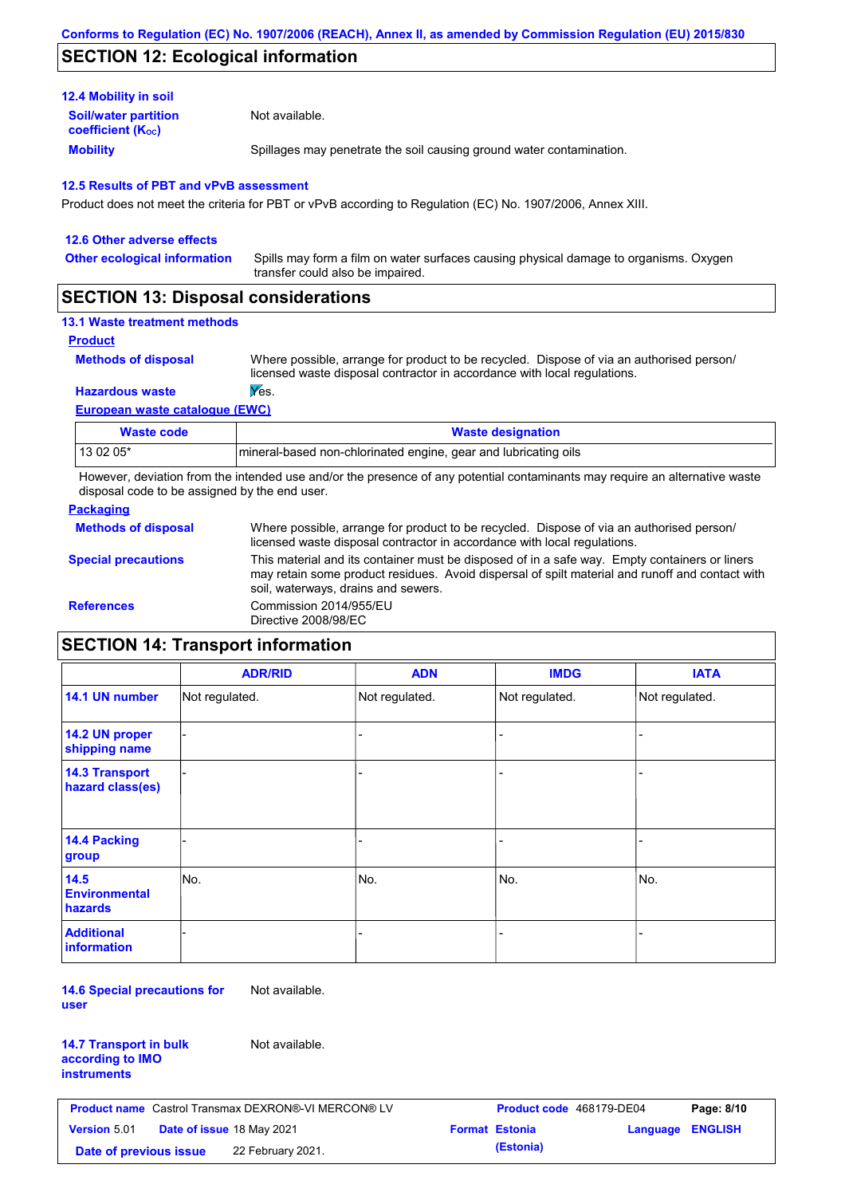## **SECTION 12: Ecological information**

| <b>12.4 Mobility in soil</b>                                  |                                                                      |
|---------------------------------------------------------------|----------------------------------------------------------------------|
| <b>Soil/water partition</b><br>coefficient (K <sub>oc</sub> ) | Not available.                                                       |
| <b>Mobility</b>                                               | Spillages may penetrate the soil causing ground water contamination. |

### **12.5 Results of PBT and vPvB assessment**

Product does not meet the criteria for PBT or vPvB according to Regulation (EC) No. 1907/2006, Annex XIII.

| 12.6 Other adverse effects          |                                                                                                                           |
|-------------------------------------|---------------------------------------------------------------------------------------------------------------------------|
| <b>Other ecological information</b> | Spills may form a film on water surfaces causing physical damage to organisms. Oxygen<br>transfer could also be impaired. |
|                                     |                                                                                                                           |

## **SECTION 13: Disposal considerations**

### **13.1 Waste treatment methods**

```
Product
```
**Methods of disposal**

Where possible, arrange for product to be recycled. Dispose of via an authorised person/ licensed waste disposal contractor in accordance with local regulations.

### **Hazardous waste Wes.**

**European waste catalogue (EWC)**

| Waste code | <b>Waste designation</b>                                        |  |
|------------|-----------------------------------------------------------------|--|
| 13 02 05*  | mineral-based non-chlorinated engine, gear and lubricating oils |  |

However, deviation from the intended use and/or the presence of any potential contaminants may require an alternative waste disposal code to be assigned by the end user.

### **Packaging**

| <b>Methods of disposal</b> | Where possible, arrange for product to be recycled. Dispose of via an authorised person/<br>licensed waste disposal contractor in accordance with local regulations.                                                                    |
|----------------------------|-----------------------------------------------------------------------------------------------------------------------------------------------------------------------------------------------------------------------------------------|
| <b>Special precautions</b> | This material and its container must be disposed of in a safe way. Empty containers or liners<br>may retain some product residues. Avoid dispersal of spilt material and runoff and contact with<br>soil, waterways, drains and sewers. |
| <b>References</b>          | Commission 2014/955/EU<br>Directive 2008/98/EC                                                                                                                                                                                          |

## **SECTION 14: Transport information**

|                                           | <b>ADR/RID</b> | <b>ADN</b>     | <b>IMDG</b>    | <b>IATA</b>    |
|-------------------------------------------|----------------|----------------|----------------|----------------|
| 14.1 UN number                            | Not regulated. | Not regulated. | Not regulated. | Not regulated. |
| 14.2 UN proper<br>shipping name           |                |                | -              |                |
| <b>14.3 Transport</b><br>hazard class(es) |                |                | -              |                |
| 14.4 Packing<br>group                     |                |                |                |                |
| 14.5<br><b>Environmental</b><br>hazards   | No.            | No.            | No.            | No.            |
| <b>Additional</b><br><b>information</b>   |                |                |                |                |

**14.6 Special precautions for user** Not available.

| <b>14.7 Transport in bulk</b> |  |
|-------------------------------|--|
| according to IMO              |  |
| instruments                   |  |

Not available.

| <b>Product name</b> Castrol Transmax DEXRON®-VI MERCON® LV |                                  |                   | Product code 468179-DE04 |                       | Page: 8/10              |  |
|------------------------------------------------------------|----------------------------------|-------------------|--------------------------|-----------------------|-------------------------|--|
| <b>Version</b> 5.01                                        | <b>Date of issue 18 May 2021</b> |                   |                          | <b>Format Estonia</b> | <b>Language ENGLISH</b> |  |
| Date of previous issue                                     |                                  | 22 February 2021. |                          | (Estonia)             |                         |  |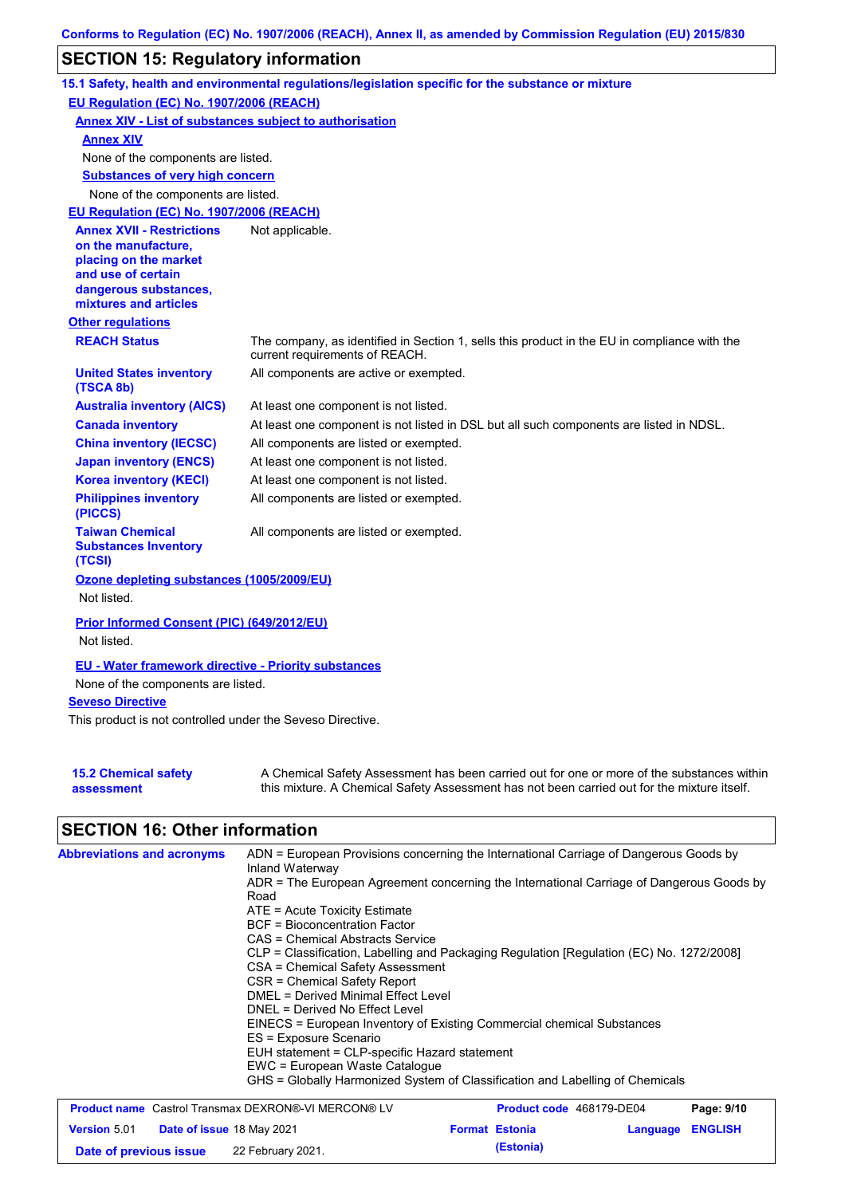## **SECTION 15: Regulatory information**

|                                                                                                                                                          | 15.1 Safety, health and environmental regulations/legislation specific for the substance or mixture                            |
|----------------------------------------------------------------------------------------------------------------------------------------------------------|--------------------------------------------------------------------------------------------------------------------------------|
| EU Regulation (EC) No. 1907/2006 (REACH)                                                                                                                 |                                                                                                                                |
| <b>Annex XIV - List of substances subject to authorisation</b>                                                                                           |                                                                                                                                |
| <b>Annex XIV</b>                                                                                                                                         |                                                                                                                                |
| None of the components are listed.                                                                                                                       |                                                                                                                                |
| <b>Substances of very high concern</b>                                                                                                                   |                                                                                                                                |
| None of the components are listed.                                                                                                                       |                                                                                                                                |
| EU Regulation (EC) No. 1907/2006 (REACH)                                                                                                                 |                                                                                                                                |
| <b>Annex XVII - Restrictions</b><br>on the manufacture,<br>placing on the market<br>and use of certain<br>dangerous substances,<br>mixtures and articles | Not applicable.                                                                                                                |
| <b>Other regulations</b>                                                                                                                                 |                                                                                                                                |
| <b>REACH Status</b>                                                                                                                                      | The company, as identified in Section 1, sells this product in the EU in compliance with the<br>current requirements of REACH. |
| <b>United States inventory</b><br>(TSCA 8b)                                                                                                              | All components are active or exempted.                                                                                         |
| <b>Australia inventory (AICS)</b>                                                                                                                        | At least one component is not listed.                                                                                          |
| <b>Canada inventory</b>                                                                                                                                  | At least one component is not listed in DSL but all such components are listed in NDSL.                                        |
| <b>China inventory (IECSC)</b>                                                                                                                           | All components are listed or exempted.                                                                                         |
| <b>Japan inventory (ENCS)</b>                                                                                                                            | At least one component is not listed.                                                                                          |
| <b>Korea inventory (KECI)</b>                                                                                                                            | At least one component is not listed.                                                                                          |
| <b>Philippines inventory</b><br>(PICCS)                                                                                                                  | All components are listed or exempted.                                                                                         |
| <b>Taiwan Chemical</b><br><b>Substances Inventory</b><br>(TCSI)                                                                                          | All components are listed or exempted.                                                                                         |
| Ozone depleting substances (1005/2009/EU)<br>Not listed.                                                                                                 |                                                                                                                                |
| Prior Informed Consent (PIC) (649/2012/EU)<br>Not listed.                                                                                                |                                                                                                                                |
| <b>EU - Water framework directive - Priority substances</b>                                                                                              |                                                                                                                                |
| None of the components are listed.                                                                                                                       |                                                                                                                                |
| <b>Seveso Directive</b>                                                                                                                                  |                                                                                                                                |
| This product is not controlled under the Seveso Directive.                                                                                               |                                                                                                                                |

| <b>15.2 Chemical safety</b> | A Chemical Safety Assessment has been carried out for one or more of the substances within  |
|-----------------------------|---------------------------------------------------------------------------------------------|
| assessment                  | this mixture. A Chemical Safety Assessment has not been carried out for the mixture itself. |

# **SECTION 16: Other information**

| <b>Abbreviations and acronyms</b>                          | ADN = European Provisions concerning the International Carriage of Dangerous Goods by<br>Inland Waterway<br>ADR = The European Agreement concerning the International Carriage of Dangerous Goods by<br>Road |  |                       |                                 |                |  |  |
|------------------------------------------------------------|--------------------------------------------------------------------------------------------------------------------------------------------------------------------------------------------------------------|--|-----------------------|---------------------------------|----------------|--|--|
|                                                            | $ATE = Acute Toxicity Estimate$                                                                                                                                                                              |  |                       |                                 |                |  |  |
|                                                            | <b>BCF</b> = Bioconcentration Factor                                                                                                                                                                         |  |                       |                                 |                |  |  |
|                                                            | CAS = Chemical Abstracts Service                                                                                                                                                                             |  |                       |                                 |                |  |  |
|                                                            | CLP = Classification, Labelling and Packaging Regulation [Regulation (EC) No. 1272/2008]<br>CSA = Chemical Safety Assessment                                                                                 |  |                       |                                 |                |  |  |
|                                                            | CSR = Chemical Safety Report                                                                                                                                                                                 |  |                       |                                 |                |  |  |
|                                                            | DMEL = Derived Minimal Effect Level                                                                                                                                                                          |  |                       |                                 |                |  |  |
|                                                            | DNEL = Derived No Effect Level                                                                                                                                                                               |  |                       |                                 |                |  |  |
|                                                            | EINECS = European Inventory of Existing Commercial chemical Substances<br>ES = Exposure Scenario<br>EUH statement = CLP-specific Hazard statement<br>EWC = European Waste Catalogue                          |  |                       |                                 |                |  |  |
|                                                            |                                                                                                                                                                                                              |  |                       |                                 |                |  |  |
|                                                            |                                                                                                                                                                                                              |  |                       |                                 |                |  |  |
|                                                            |                                                                                                                                                                                                              |  |                       |                                 |                |  |  |
|                                                            | GHS = Globally Harmonized System of Classification and Labelling of Chemicals                                                                                                                                |  |                       |                                 |                |  |  |
| <b>Product name</b> Castrol Transmax DEXRON®-VI MERCON® LV |                                                                                                                                                                                                              |  |                       | <b>Product code</b> 468179-DE04 | Page: 9/10     |  |  |
| <b>Version 5.01</b><br><b>Date of issue 18 May 2021</b>    |                                                                                                                                                                                                              |  | <b>Format Estonia</b> | Language                        | <b>ENGLISH</b> |  |  |

**Date of previous issue (Estonia)** 22 February 2021.